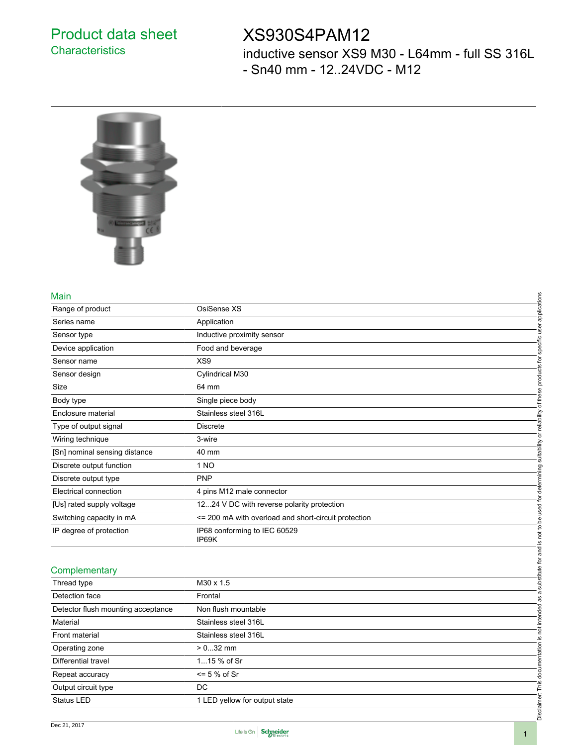### Product data sheet **Characteristics**

## XS930S4PAM12

inductive sensor XS9 M30 - L64mm - full SS 316L - Sn40 mm - 12..24VDC - M12



#### Main

| Main                               |                                                      |                                                     |
|------------------------------------|------------------------------------------------------|-----------------------------------------------------|
| Range of product                   | OsiSense XS                                          | applications                                        |
| Series name                        | Application                                          |                                                     |
| Sensor type                        | Inductive proximity sensor                           |                                                     |
| Device application                 | Food and beverage                                    | specific user                                       |
| Sensor name                        | XS9                                                  |                                                     |
| Sensor design                      | Cylindrical M30                                      | products for                                        |
| Size                               | 64 mm                                                |                                                     |
| Body type                          | Single piece body                                    | of these                                            |
| Enclosure material                 | Stainless steel 316L                                 |                                                     |
| Type of output signal              | Discrete                                             |                                                     |
| Wiring technique                   | 3-wire                                               |                                                     |
| [Sn] nominal sensing distance      | 40 mm                                                | suitability or reliability                          |
| Discrete output function           | 1 NO                                                 |                                                     |
| Discrete output type               | <b>PNP</b>                                           |                                                     |
| Electrical connection              | 4 pins M12 male connector                            | used for determining                                |
| [Us] rated supply voltage          | 1224 V DC with reverse polarity protection           |                                                     |
| Switching capacity in mA           | <= 200 mA with overload and short-circuit protection |                                                     |
| IP degree of protection            | IP68 conforming to IEC 60529<br>IP69K                | substitute for and is not to be                     |
|                                    |                                                      |                                                     |
| Complementary                      |                                                      |                                                     |
| Thread type                        | M30 x 1.5                                            |                                                     |
| Detection face                     | Frontal                                              |                                                     |
| Detector flush mounting acceptance | Non flush mountable                                  |                                                     |
| Material                           | Stainless steel 316L                                 |                                                     |
| Front material                     | Stainless steel 316L                                 |                                                     |
| Operating zone                     | $> 032$ mm                                           |                                                     |
| Differential travel                | 115 % of Sr                                          |                                                     |
| Repeat accuracy                    | $\leq$ 5 % of Sr                                     |                                                     |
| Output circuit type                | DC                                                   |                                                     |
| Status LED                         | 1 LED yellow for output state                        | Disclaimer: This documentation is not intended as a |
|                                    |                                                      |                                                     |

#### **Complementary**

| Complementary                      |                               |          |
|------------------------------------|-------------------------------|----------|
| Thread type                        | $M30 \times 1.5$              |          |
| Detection face                     | Frontal                       |          |
| Detector flush mounting acceptance | Non flush mountable           |          |
| Material                           | Stainless steel 316L          |          |
| Front material                     | Stainless steel 316L          |          |
| Operating zone                     | $> 032$ mm                    |          |
| Differential travel                | 115 % of Sr                   |          |
| Repeat accuracy                    | $\leq$ 5 % of Sr              |          |
| Output circuit type                | DC                            |          |
| <b>Status LED</b>                  | 1 LED yellow for output state |          |
|                                    |                               | $\Omega$ |

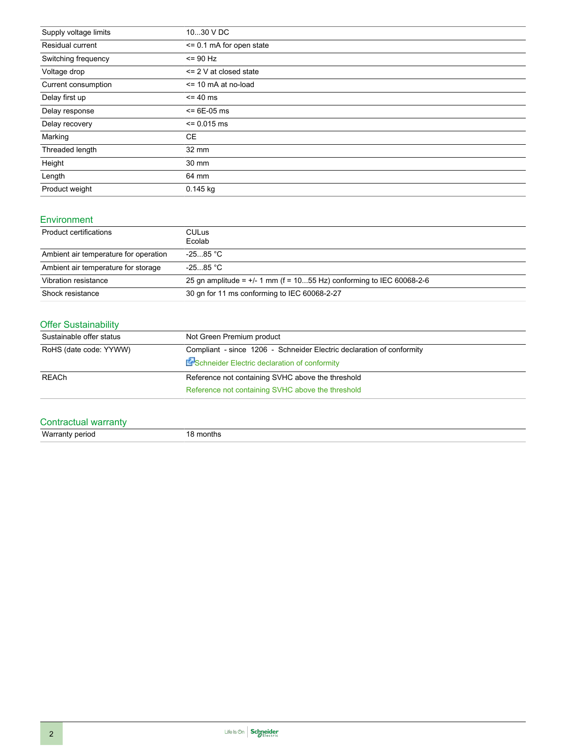| Supply voltage limits | 1030 V DC                     |
|-----------------------|-------------------------------|
| Residual current      | $\le$ = 0.1 mA for open state |
| Switching frequency   | $= 90$ Hz                     |
| Voltage drop          | $\leq$ 2 V at closed state    |
| Current consumption   | $\le$ 10 mA at no-load        |
| Delay first up        | $= 40$ ms                     |
| Delay response        | $\le$ = 6E-05 ms              |
| Delay recovery        | $= 0.015$ ms                  |
| Marking               | <b>CE</b>                     |
| Threaded length       | 32 mm                         |
| Height                | 30 mm                         |
| Length                | 64 mm                         |
| Product weight        | $0.145$ kg                    |

#### Environment

| Product certifications                | CULus.<br>Ecolab                                                      |
|---------------------------------------|-----------------------------------------------------------------------|
| Ambient air temperature for operation | $-2585 °C$                                                            |
| Ambient air temperature for storage   | $-2585$ °C.                                                           |
| Vibration resistance                  | 25 gn amplitude = $+/-1$ mm (f = 1055 Hz) conforming to IEC 60068-2-6 |
| Shock resistance                      | 30 gn for 11 ms conforming to IEC 60068-2-27                          |

### Offer Sustainability

| Sustainable offer status | Not Green Premium product                                             |  |
|--------------------------|-----------------------------------------------------------------------|--|
| RoHS (date code: YYWW)   | Compliant - since 1206 - Schneider Electric declaration of conformity |  |
|                          | En Schneider Electric declaration of conformity                       |  |
| <b>REACh</b>             | Reference not containing SVHC above the threshold                     |  |
|                          | Reference not containing SVHC above the threshold                     |  |

### Contractual warranty

Warranty period 18 months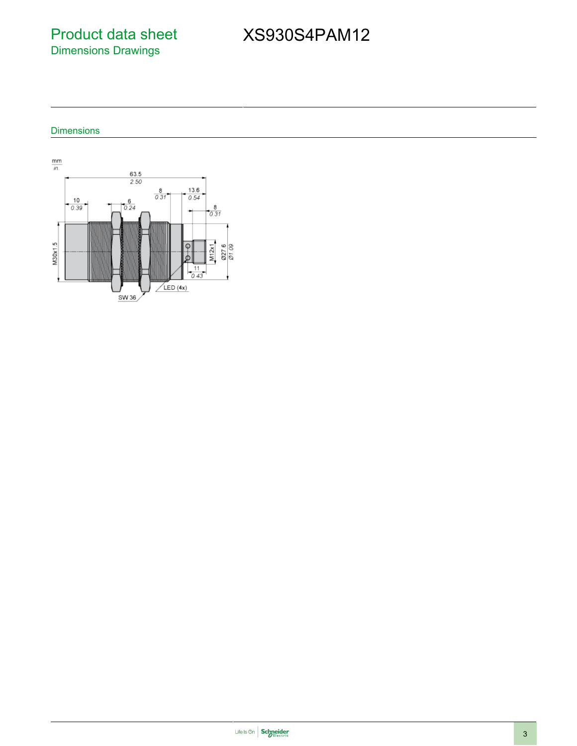Product data sheet Dimensions Drawings

# XS930S4PAM12

#### Dimensions

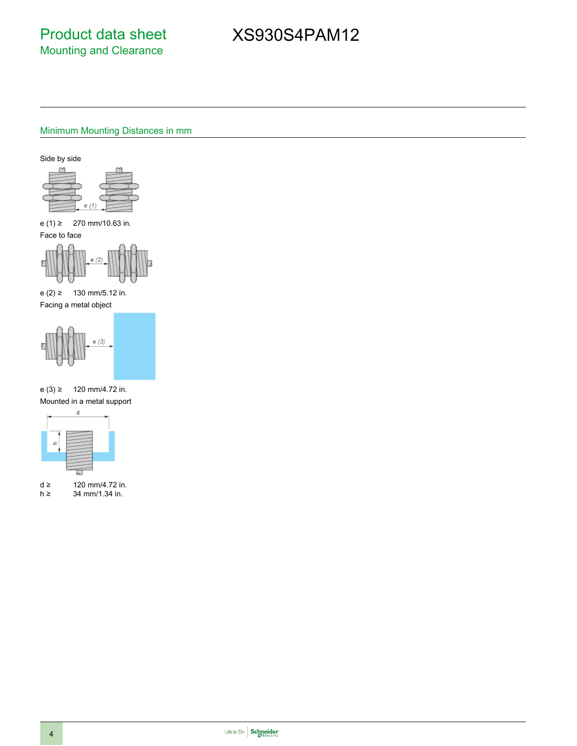# XS930S4PAM12

### Minimum Mounting Distances in mm

Side by side



e (1) ≥ 270 mm/10.63 in.

Face to face

e (2) ≥ 130 mm/5.12 in. Facing a metal object



e (3) ≥ 120 mm/4.72 in. Mounted in a metal support



d ≥ 120 mm/4.72 in.<br>h ≥ 34 mm/1.34 in. 34 mm/1.34 in.